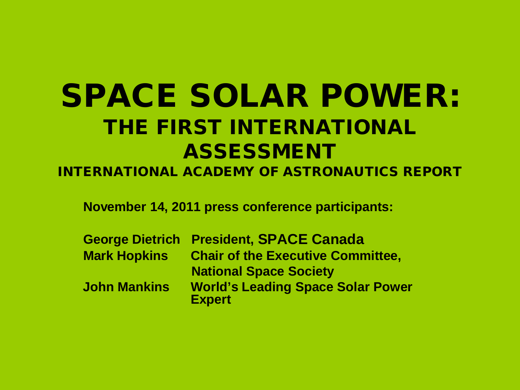#### SPACE SOLAR POWER: THE FIRST INTERNATIONAL ASSESSMENT

INTERNATIONAL ACADEMY OF ASTRONAUTICS REPORT

**November 14, 2011 press conference participants:**

|                     | <b>George Dietrich President, SPACE Canada</b>            |
|---------------------|-----------------------------------------------------------|
| <b>Mark Hopkins</b> | <b>Chair of the Executive Committee,</b>                  |
|                     | <b>National Space Society</b>                             |
| <b>John Mankins</b> | <b>World's Leading Space Solar Power</b><br><b>Expert</b> |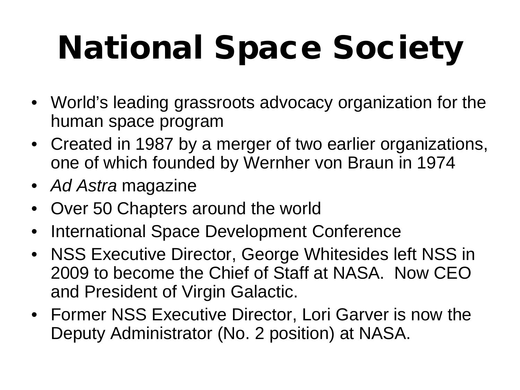# National Space Society

- World's leading grassroots advocacy organization for the human space program
- Created in 1987 by a merger of two earlier organizations, one of which founded by Wernher von Braun in 1974
- *Ad Astra* magazine
- Over 50 Chapters around the world
- International Space Development Conference
- NSS Executive Director, George Whitesides left NSS in 2009 to become the Chief of Staff at NASA. Now CEO and President of Virgin Galactic.
- Former NSS Executive Director, Lori Garver is now the Deputy Administrator (No. 2 position) at NASA.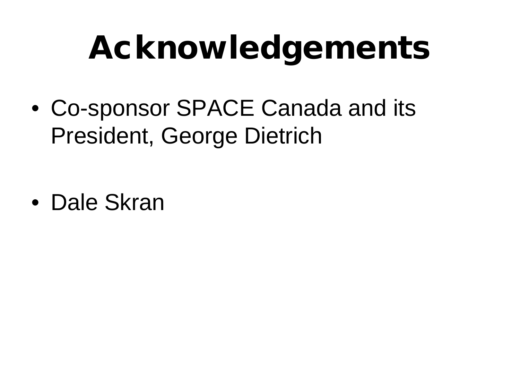# Acknowledgements

• Co-sponsor SPACE Canada and its President, George Dietrich

• Dale Skran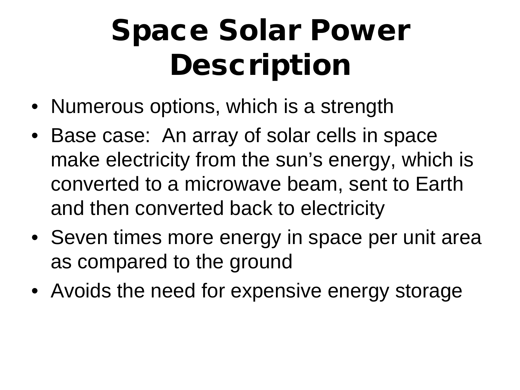#### Space Solar Power **Description**

- Numerous options, which is a strength
- Base case: An array of solar cells in space make electricity from the sun's energy, which is converted to a microwave beam, sent to Earth and then converted back to electricity
- Seven times more energy in space per unit area as compared to the ground
- Avoids the need for expensive energy storage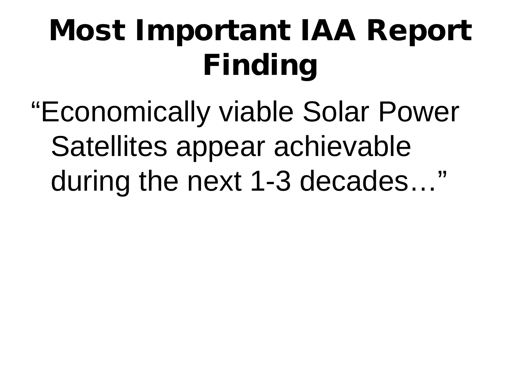### Most Important IAA Report Finding

"Economically viable Solar Power Satellites appear achievable during the next 1-3 decades…"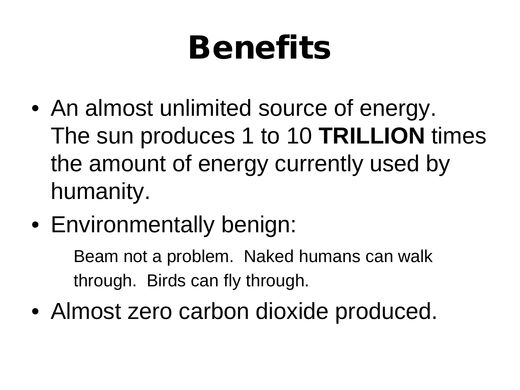# Benefits

- An almost unlimited source of energy. The sun produces 1 to 10 **TRILLION** times the amount of energy currently used by humanity.
- Environmentally benign:

Beam not a problem. Naked humans can walk through. Birds can fly through.

• Almost zero carbon dioxide produced.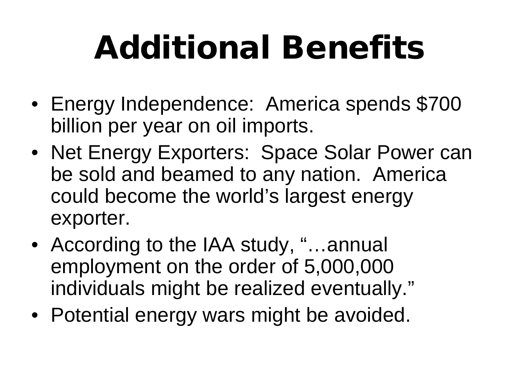# Additional Benefits

- Energy Independence: America spends \$700 billion per year on oil imports.
- Net Energy Exporters: Space Solar Power can be sold and beamed to any nation. America could become the world's largest energy exporter.
- According to the IAA study, "...annual employment on the order of 5,000,000 individuals might be realized eventually."
- Potential energy wars might be avoided.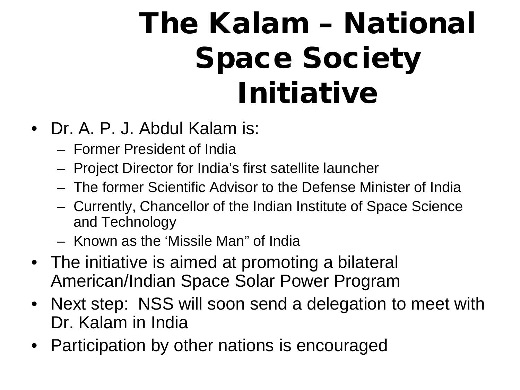#### The Kalam – National Space Society Initiative

- Dr. A. P. J. Abdul Kalam is:
	- Former President of India
	- Project Director for India's first satellite launcher
	- The former Scientific Advisor to the Defense Minister of India
	- Currently, Chancellor of the Indian Institute of Space Science and Technology
	- Known as the 'Missile Man" of India
- The initiative is aimed at promoting a bilateral American/Indian Space Solar Power Program
- Next step: NSS will soon send a delegation to meet with Dr. Kalam in India
- Participation by other nations is encouraged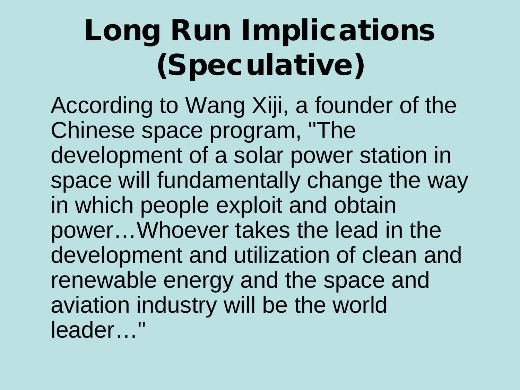#### Long Run Implications (Speculative)

According to Wang Xiji, a founder of the Chinese space program, "The development of a solar power station in space will fundamentally change the way in which people exploit and obtain power…Whoever takes the lead in the development and utilization of clean and renewable energy and the space and aviation industry will be the world leader…"